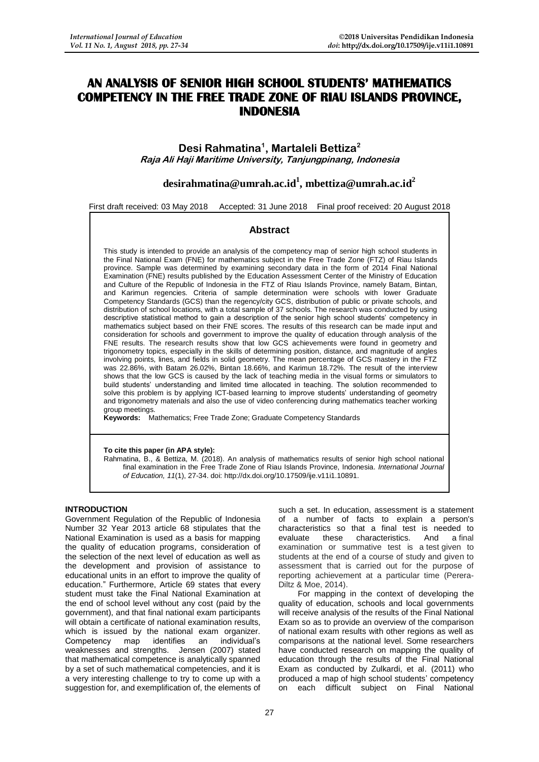# **AN ANALYSIS OF SENIOR HIGH SCHOOL STUDENTS' MATHEMATICS COMPETENCY IN THE FREE TRADE ZONE OF RIAU ISLANDS PROVINCE, INDONESIA**

# **Desi Rahmatina<sup>1</sup> , Martaleli Bettiza<sup>2</sup> Raja Ali Haji Maritime University, Tanjungpinang, Indonesia**

# **[desirahmatina@umrah.ac.id](mailto:desirahmatina@umrah.ac.id)<sup>1</sup> , [mbettiza@umrah.ac.id](mailto:mbettiza@umrah.ac.id)<sup>2</sup>**

First draft received: 03 May 2018 Accepted: 31 June 2018 Final proof received: 20 August 2018

# **Abstract**

This study is intended to provide an analysis of the competency map of senior high school students in the Final National Exam (FNE) for mathematics subject in the Free Trade Zone (FTZ) of Riau Islands province. Sample was determined by examining secondary data in the form of 2014 Final National Examination (FNE) results published by the Education Assessment Center of the Ministry of Education and Culture of the Republic of Indonesia in the FTZ of Riau Islands Province, namely Batam, Bintan, and Karimun regencies. Criteria of sample determination were schools with lower Graduate Competency Standards (GCS) than the regency/city GCS, distribution of public or private schools, and distribution of school locations, with a total sample of 37 schools. The research was conducted by using descriptive statistical method to gain a description of the senior high school students' competency in mathematics subject based on their FNE scores. The results of this research can be made input and consideration for schools and government to improve the quality of education through analysis of the FNE results. The research results show that low GCS achievements were found in geometry and trigonometry topics, especially in the skills of determining position, distance, and magnitude of angles involving points, lines, and fields in solid geometry. The mean percentage of GCS mastery in the FTZ was 22.86%, with Batam 26.02%, Bintan 18.66%, and Karimun 18.72%. The result of the interview shows that the low GCS is caused by the lack of teaching media in the visual forms or simulators to build students' understanding and limited time allocated in teaching. The solution recommended to solve this problem is by applying ICT-based learning to improve students' understanding of geometry and trigonometry materials and also the use of video conferencing during mathematics teacher working group meetings.

**Keywords:** Mathematics; Free Trade Zone; Graduate Competency Standards

#### **To cite this paper (in APA style):**

Rahmatina, B., & Bettiza, M. (2018). An analysis of mathematics results of senior high school national final examination in the Free Trade Zone of Riau Islands Province, Indonesia. *International Journal of Education, 11*(1), 27-34. doi: http://dx.doi.org/10.17509/ije.v11i1.10891.

## **INTRODUCTION**

Government Regulation of the Republic of Indonesia Number 32 Year 2013 article 68 stipulates that the National Examination is used as a basis for mapping the quality of education programs, consideration of the selection of the next level of education as well as the development and provision of assistance to educational units in an effort to improve the quality of education." Furthermore, Article 69 states that every student must take the Final National Examination at the end of school level without any cost (paid by the government), and that final national exam participants will obtain a certificate of national examination results, which is issued by the national exam organizer. Competency map identifies an individual's weaknesses and strengths. Jensen (2007) stated that mathematical competence is analytically spanned by a set of such mathematical competencies, and it is a very interesting challenge to try to come up with a suggestion for, and exemplification of, the elements of

such a set. In education, assessment is a statement of a number of facts to explain a person's characteristics so that a final test is needed to evaluate these characteristics. And a final examination or summative test is a test given to students at the end of a course of study and given to assessment that is carried out for the purpose of reporting achievement at a particular time (Perera-Diltz & Moe, 2014).

For mapping in the context of developing the quality of education, schools and local governments will receive analysis of the results of the Final National Exam so as to provide an overview of the comparison of national exam results with other regions as well as comparisons at the national level. Some researchers have conducted research on mapping the quality of education through the results of the Final National Exam as conducted by Zulkardi, et al. (2011) who produced a map of high school students' competency on each difficult subject on Final National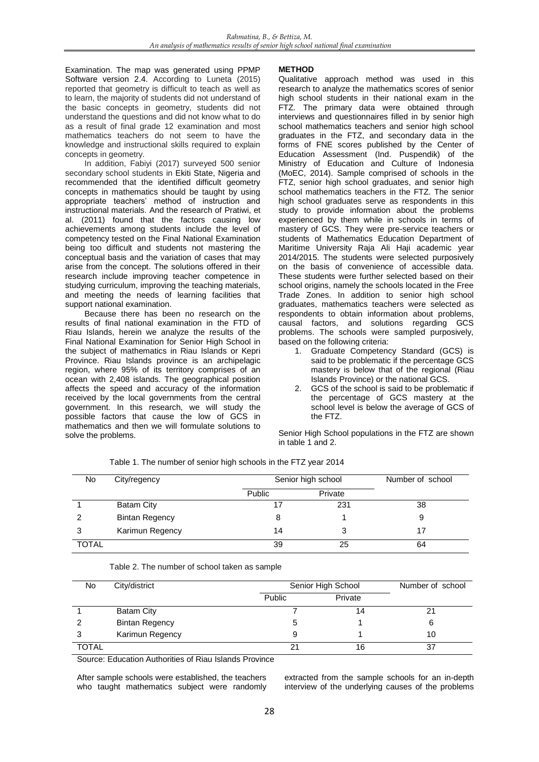Examination. The map was generated using PPMP Software version 2.4. According to Luneta (2015) reported that geometry is difficult to teach as well as to learn, the majority of students did not understand of the basic concepts in geometry, students did not understand the questions and did not know what to do as a result of final grade 12 examination and most mathematics teachers do not seem to have the knowledge and instructional skills required to explain concepts in geometry.

In addition, Fabiyi (2017) surveyed 500 senior secondary school students in Ekiti State, Nigeria and recommended that the identified difficult geometry concepts in mathematics should be taught by using appropriate teachers' method of instruction and instructional materials. And the research of Pratiwi, et al. (2011) found that the factors causing low achievements among students include the level of competency tested on the Final National Examination being too difficult and students not mastering the conceptual basis and the variation of cases that may arise from the concept. The solutions offered in their research include improving teacher competence in studying curriculum, improving the teaching materials, and meeting the needs of learning facilities that support national examination.

Because there has been no research on the results of final national examination in the FTD of Riau Islands, herein we analyze the results of the Final National Examination for Senior High School in the subject of mathematics in Riau Islands or Kepri Province. Riau Islands province is an archipelagic region, where 95% of its territory comprises of an ocean with 2,408 islands. The geographical position affects the speed and accuracy of the information received by the local governments from the central government. In this research, we will study the possible factors that cause the low of GCS in mathematics and then we will formulate solutions to solve the problems.

## **METHOD**

Qualitative approach method was used in this research to analyze the mathematics scores of senior high school students in their national exam in the FTZ. The primary data were obtained through interviews and questionnaires filled in by senior high school mathematics teachers and senior high school graduates in the FTZ, and secondary data in the forms of FNE scores published by the Center of Education Assessment (Ind. Puspendik) of the Ministry of Education and Culture of Indonesia (MoEC, 2014). Sample comprised of schools in the FTZ, senior high school graduates, and senior high school mathematics teachers in the FTZ. The senior high school graduates serve as respondents in this study to provide information about the problems experienced by them while in schools in terms of mastery of GCS. They were pre-service teachers or students of Mathematics Education Department of Maritime University Raja Ali Haji academic year 2014/2015. The students were selected purposively on the basis of convenience of accessible data. These students were further selected based on their school origins, namely the schools located in the Free Trade Zones. In addition to senior high school graduates, mathematics teachers were selected as respondents to obtain information about problems, causal factors, and solutions regarding GCS problems. The schools were sampled purposively, based on the following criteria:

- 1. Graduate Competency Standard (GCS) is said to be problematic if the percentage GCS mastery is below that of the regional (Riau Islands Province) or the national GCS.
- 2. GCS of the school is said to be problematic if the percentage of GCS mastery at the school level is below the average of GCS of the FTZ.

Senior High School populations in the FTZ are shown in table 1 and 2.

| No.   | City/regency          | Senior high school | Number of school |    |
|-------|-----------------------|--------------------|------------------|----|
|       |                       | <b>Public</b>      | Private          |    |
|       | Batam City            |                    | 231              | 38 |
| 2     | <b>Bintan Regency</b> | 8                  |                  |    |
| 3     | Karimun Regency       | 14                 |                  | 17 |
| TOTAL |                       | 39                 | 25               | 64 |

Table 1. The number of senior high schools in the FTZ year 2014

# Table 2. The number of school taken as sample

| No.          | City/district         |        | Senior High School |    |  |
|--------------|-----------------------|--------|--------------------|----|--|
|              |                       | Public | Private            |    |  |
|              | <b>Batam City</b>     |        | 14                 | 21 |  |
|              | <b>Bintan Regency</b> |        |                    | 6  |  |
| 3            | Karimun Regency       |        |                    | 10 |  |
| <b>TOTAL</b> |                       | 21     | 16                 | 37 |  |

Source: Education Authorities of Riau Islands Province

After sample schools were established, the teachers who taught mathematics subject were randomly extracted from the sample schools for an in-depth interview of the underlying causes of the problems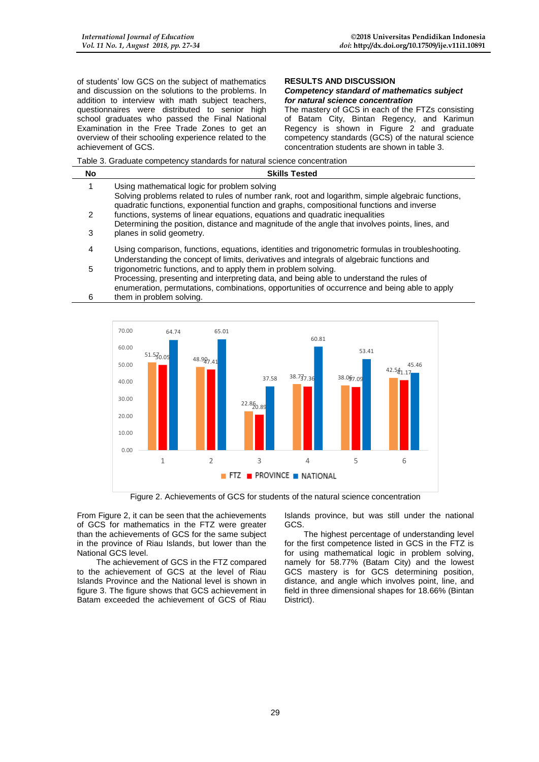of students' low GCS on the subject of mathematics and discussion on the solutions to the problems. In addition to interview with math subject teachers, questionnaires were distributed to senior high school graduates who passed the Final National Examination in the Free Trade Zones to get an overview of their schooling experience related to the achievement of GCS.

#### **RESULTS AND DISCUSSION** *Competency standard of mathematics subject for natural science concentration*

The mastery of GCS in each of the FTZs consisting of Batam City, Bintan Regency, and Karimun Regency is shown in Figure 2 and graduate competency standards (GCS) of the natural science concentration students are shown in table 3.

Table 3. Graduate competency standards for natural science concentration

| No | <b>Skills Tested</b>                                                                                                                                                                                                                           |
|----|------------------------------------------------------------------------------------------------------------------------------------------------------------------------------------------------------------------------------------------------|
|    | Using mathematical logic for problem solving<br>Solving problems related to rules of number rank, root and logarithm, simple algebraic functions,<br>quadratic functions, exponential function and graphs, compositional functions and inverse |
| 2  | functions, systems of linear equations, equations and quadratic inequalities<br>Determining the position, distance and magnitude of the angle that involves points, lines, and                                                                 |
| 3  | planes in solid geometry.                                                                                                                                                                                                                      |
| 4  | Using comparison, functions, equations, identities and trigonometric formulas in troubleshooting.<br>Understanding the concept of limits, derivatives and integrals of algebraic functions and                                                 |
| 5  | trigonometric functions, and to apply them in problem solving.<br>Processing, presenting and interpreting data, and being able to understand the rules of                                                                                      |

6 enumeration, permutations, combinations, opportunities of occurrence and being able to apply them in problem solving.



Figure 2. Achievements of GCS for students of the natural science concentration

From Figure 2, it can be seen that the achievements of GCS for mathematics in the FTZ were greater than the achievements of GCS for the same subject in the province of Riau Islands, but lower than the National GCS level.

The achievement of GCS in the FTZ compared to the achievement of GCS at the level of Riau Islands Province and the National level is shown in figure 3. The figure shows that GCS achievement in Batam exceeded the achievement of GCS of Riau

Islands province, but was still under the national GCS.

The highest percentage of understanding level for the first competence listed in GCS in the FTZ is for using mathematical logic in problem solving, namely for 58.77% (Batam City) and the lowest GCS mastery is for GCS determining position, distance, and angle which involves point, line, and field in three dimensional shapes for 18.66% (Bintan District).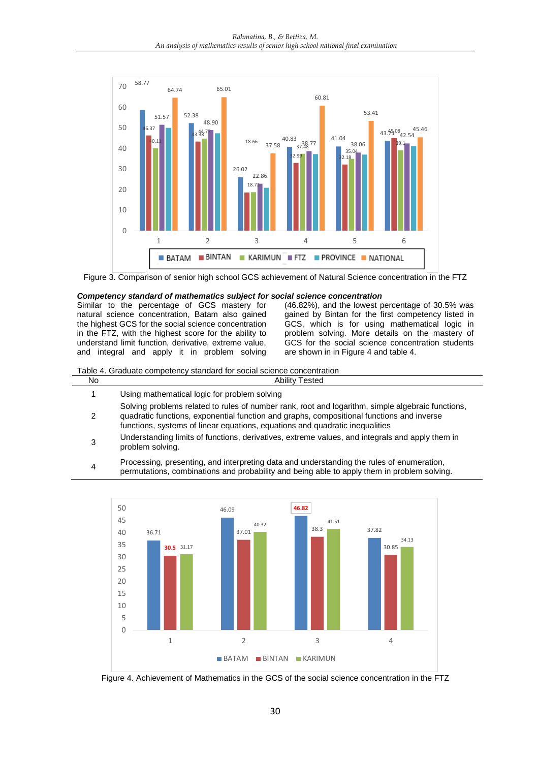

Figure 3. Comparison of senior high school GCS achievement of Natural Science concentration in the FTZ

#### *Competency standard of mathematics subject for social science concentration*

Similar to the percentage of GCS mastery for natural science concentration, Batam also gained the highest GCS for the social science concentration in the FTZ, with the highest score for the ability to understand limit function, derivative, extreme value, and integral and apply it in problem solving

(46.82%), and the lowest percentage of 30.5% was gained by Bintan for the first competency listed in GCS, which is for using mathematical logic in problem solving. More details on the mastery of GCS for the social science concentration students are shown in in Figure 4 and table 4.

#### Table 4. Graduate competency standard for social science concentration

- 
- No Ability Tested
- 1 Using mathematical logic for problem solving
- 2 Solving problems related to rules of number rank, root and logarithm, simple algebraic functions, quadratic functions, exponential function and graphs, compositional functions and inverse functions, systems of linear equations, equations and quadratic inequalities
- 3 Understanding limits of functions, derivatives, extreme values, and integrals and apply them in problem solving.
- 4 Processing, presenting, and interpreting data and understanding the rules of enumeration, permutations, combinations and probability and being able to apply them in problem solving.



Figure 4. Achievement of Mathematics in the GCS of the social science concentration in the FTZ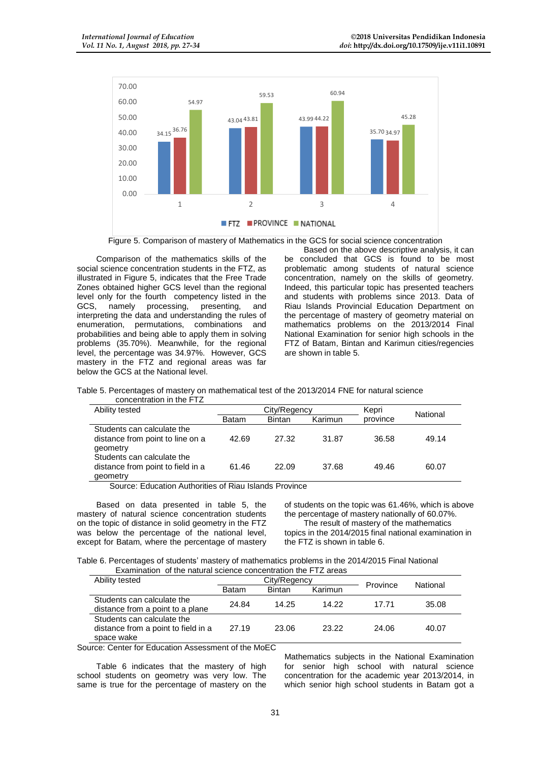

Figure 5. Comparison of mastery of Mathematics in the GCS for social science concentration

Comparison of the mathematics skills of the social science concentration students in the FTZ, as illustrated in Figure 5, indicates that the Free Trade Zones obtained higher GCS level than the regional level only for the fourth competency listed in the GCS, namely processing, presenting, and GCS, namely processing, presenting, and interpreting the data and understanding the rules of enumeration, permutations, combinations and probabilities and being able to apply them in solving problems (35.70%). Meanwhile, for the regional level, the percentage was 34.97%. However, GCS mastery in the FTZ and regional areas was far below the GCS at the National level.

Based on the above descriptive analysis, it can be concluded that GCS is found to be most problematic among students of natural science concentration, namely on the skills of geometry. Indeed, this particular topic has presented teachers and students with problems since 2013. Data of Riau Islands Provincial Education Department on the percentage of mastery of geometry material on mathematics problems on the 2013/2014 Final National Examination for senior high schools in the FTZ of Batam, Bintan and Karimun cities/regencies are shown in table 5.

Table 5. Percentages of mastery on mathematical test of the 2013/2014 FNE for natural science

| concentration in the FTZ          |              |               |         |          |          |
|-----------------------------------|--------------|---------------|---------|----------|----------|
| Ability tested                    | City/Regency |               |         | Kepri    | National |
|                                   | <b>Batam</b> | <b>Bintan</b> | Karimun | province |          |
| Students can calculate the        |              |               |         |          |          |
| distance from point to line on a  | 42.69        | 27.32         | 31.87   | 36.58    | 49.14    |
| geometry                          |              |               |         |          |          |
| Students can calculate the        |              |               |         |          |          |
| distance from point to field in a | 61.46        | 22.09         | 37.68   | 49.46    | 60.07    |
| geometry                          |              |               |         |          |          |

Source: Education Authorities of Riau Islands Province

Based on data presented in table 5, the mastery of natural science concentration students on the topic of distance in solid geometry in the FTZ was below the percentage of the national level, except for Batam, where the percentage of mastery of students on the topic was 61.46%, which is above the percentage of mastery nationally of 60.07%.

The result of mastery of the mathematics topics in the 2014/2015 final national examination in the FTZ is shown in table 6.

Table 6. Percentages of students' mastery of mathematics problems in the 2014/2015 Final National Examination of the natural science concentration the FTZ areas

| Ability tested                                                                  | City/Regency |               |         | Province | National |
|---------------------------------------------------------------------------------|--------------|---------------|---------|----------|----------|
|                                                                                 | <b>Batam</b> | <b>Bintan</b> | Karimun |          |          |
| Students can calculate the<br>distance from a point to a plane                  | 24.84        | 14.25         | 14.22   | 17 71    | 35.08    |
| Students can calculate the<br>distance from a point to field in a<br>space wake | 27.19        | 23.06         | 23.22   | 24.06    | 40.07    |

Source: Center for Education Assessment of the MoEC

Table 6 indicates that the mastery of high school students on geometry was very low. The same is true for the percentage of mastery on the Mathematics subjects in the National Examination for senior high school with natural science concentration for the academic year 2013/2014, in which senior high school students in Batam got a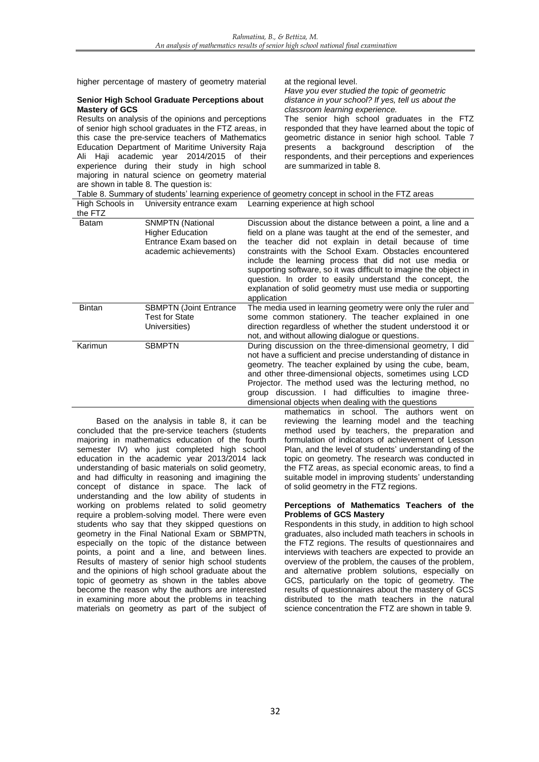higher percentage of mastery of geometry material at the regional level.

#### **Senior High School Graduate Perceptions about Mastery of GCS**

Results on analysis of the opinions and perceptions of senior high school graduates in the FTZ areas, in this case the pre-service teachers of Mathematics Education Department of Maritime University Raja Ali Haji academic year 2014/2015 of their experience during their study in high school majoring in natural science on geometry material are shown in table 8. The question is:

*Have you ever studied the topic of geometric distance in your school? If yes, tell us about the classroom learning experience.*

The senior high school graduates in the FTZ responded that they have learned about the topic of geometric distance in senior high school. Table 7 presents a background description of the respondents, and their perceptions and experiences are summarized in table 8.

Table 8. Summary of students' learning experience of geometry concept in school in the FTZ areas High Schools in University entrance exam Learning experience at high school

| the FTZ |                                                                                                        | $\frac{1}{2}$ in the concentration of the commitment of the concentration of the concentration of the concentration of the concentration of the concentration of the concentration of the concentration of the concentration of t                                                                                                                                                                                                                                                                                      |
|---------|--------------------------------------------------------------------------------------------------------|------------------------------------------------------------------------------------------------------------------------------------------------------------------------------------------------------------------------------------------------------------------------------------------------------------------------------------------------------------------------------------------------------------------------------------------------------------------------------------------------------------------------|
| Batam   | <b>SNMPTN (National</b><br><b>Higher Education</b><br>Entrance Exam based on<br>academic achievements) | Discussion about the distance between a point, a line and a<br>field on a plane was taught at the end of the semester, and<br>the teacher did not explain in detail because of time<br>constraints with the School Exam. Obstacles encountered<br>include the learning process that did not use media or<br>supporting software, so it was difficult to imagine the object in<br>question. In order to easily understand the concept, the<br>explanation of solid geometry must use media or supporting<br>application |
| Bintan  | <b>SBMPTN (Joint Entrance</b><br><b>Test for State</b><br>Universities)                                | The media used in learning geometry were only the ruler and<br>some common stationery. The teacher explained in one<br>direction regardless of whether the student understood it or<br>not, and without allowing dialogue or questions.                                                                                                                                                                                                                                                                                |
| Karimun | <b>SBMPTN</b>                                                                                          | During discussion on the three-dimensional geometry, I did<br>not have a sufficient and precise understanding of distance in<br>geometry. The teacher explained by using the cube, beam,<br>and other three-dimensional objects, sometimes using LCD<br>Projector. The method used was the lecturing method, no<br>group discussion. I had difficulties to imagine three-<br>dimensional objects when dealing with the questions                                                                                       |

Based on the analysis in table 8, it can be concluded that the pre-service teachers (students majoring in mathematics education of the fourth semester IV) who just completed high school education in the academic year 2013/2014 lack understanding of basic materials on solid geometry, and had difficulty in reasoning and imagining the concept of distance in space. The lack of understanding and the low ability of students in working on problems related to solid geometry require a problem-solving model. There were even students who say that they skipped questions on geometry in the Final National Exam or SBMPTN, especially on the topic of the distance between points, a point and a line, and between lines. Results of mastery of senior high school students and the opinions of high school graduate about the topic of geometry as shown in the tables above become the reason why the authors are interested in examining more about the problems in teaching materials on geometry as part of the subject of

mathematics in school. The authors went on reviewing the learning model and the teaching method used by teachers, the preparation and formulation of indicators of achievement of Lesson Plan, and the level of students' understanding of the topic on geometry. The research was conducted in the FTZ areas, as special economic areas, to find a suitable model in improving students' understanding of solid geometry in the FTZ regions.

#### **Perceptions of Mathematics Teachers of the Problems of GCS Mastery**

Respondents in this study, in addition to high school graduates, also included math teachers in schools in the FTZ regions. The results of questionnaires and interviews with teachers are expected to provide an overview of the problem, the causes of the problem, and alternative problem solutions, especially on GCS, particularly on the topic of geometry. The results of questionnaires about the mastery of GCS distributed to the math teachers in the natural science concentration the FTZ are shown in table 9.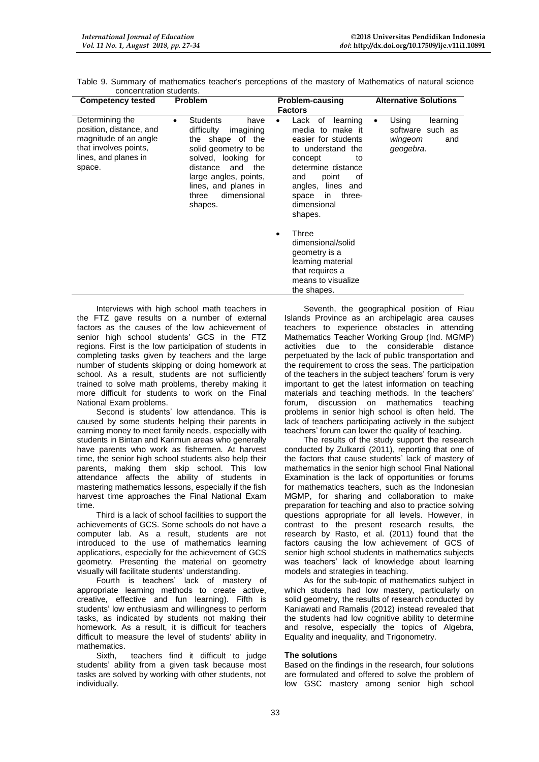| <b>Competency tested</b>                                                                                                       | <b>Problem</b>                                                                                                                                                                                                                                   | Problem-causing                                                                                                                                                                                                                          | <b>Alternative Solutions</b>                                              |  |
|--------------------------------------------------------------------------------------------------------------------------------|--------------------------------------------------------------------------------------------------------------------------------------------------------------------------------------------------------------------------------------------------|------------------------------------------------------------------------------------------------------------------------------------------------------------------------------------------------------------------------------------------|---------------------------------------------------------------------------|--|
|                                                                                                                                |                                                                                                                                                                                                                                                  | <b>Factors</b>                                                                                                                                                                                                                           |                                                                           |  |
| Determining the<br>position, distance, and<br>magnitude of an angle<br>that involves points,<br>lines, and planes in<br>space. | <b>Students</b><br>have<br>$\bullet$<br>difficulty<br>imagining<br>the shape of the<br>solid geometry to be<br>solved, looking for<br>the<br>distance<br>and<br>large angles, points,<br>lines, and planes in<br>dimensional<br>three<br>shapes. | Lack<br>of<br>learning<br>media to make it<br>easier for students<br>to understand the<br>concept<br>to<br>determine distance<br>point<br>and<br>оf<br>lines and<br>angles,<br>three-<br>in.<br>space<br>dimensional<br>shapes.<br>Three | Using<br>learning<br>٠<br>software such as<br>wingeom<br>and<br>geogebra. |  |
|                                                                                                                                |                                                                                                                                                                                                                                                  | dimensional/solid<br>geometry is a<br>learning material<br>that requires a                                                                                                                                                               |                                                                           |  |
|                                                                                                                                |                                                                                                                                                                                                                                                  | means to visualize<br>the shapes.                                                                                                                                                                                                        |                                                                           |  |

Table 9. Summary of mathematics teacher's perceptions of the mastery of Mathematics of natural science concentration students.

Interviews with high school math teachers in the FTZ gave results on a number of external factors as the causes of the low achievement of senior high school students' GCS in the FTZ regions. First is the low participation of students in completing tasks given by teachers and the large number of students skipping or doing homework at school. As a result, students are not sufficiently trained to solve math problems, thereby making it more difficult for students to work on the Final National Exam problems.

Second is students' low attendance. This is caused by some students helping their parents in earning money to meet family needs, especially with students in Bintan and Karimun areas who generally have parents who work as fishermen. At harvest time, the senior high school students also help their parents, making them skip school. This low attendance affects the ability of students in mastering mathematics lessons, especially if the fish harvest time approaches the Final National Exam time.

Third is a lack of school facilities to support the achievements of GCS. Some schools do not have a computer lab. As a result, students are not introduced to the use of mathematics learning applications, especially for the achievement of GCS geometry. Presenting the material on geometry visually will facilitate students' understanding.

Fourth is teachers' lack of mastery of appropriate learning methods to create active, creative, effective and fun learning). Fifth is students' low enthusiasm and willingness to perform tasks, as indicated by students not making their homework. As a result, it is difficult for teachers difficult to measure the level of students' ability in mathematics.

Sixth, teachers find it difficult to judge students' ability from a given task because most tasks are solved by working with other students, not individually.

Seventh, the geographical position of Riau Islands Province as an archipelagic area causes teachers to experience obstacles in attending Mathematics Teacher Working Group (Ind. MGMP) activities due to the considerable distance perpetuated by the lack of public transportation and the requirement to cross the seas. The participation of the teachers in the subject teachers' forum is very important to get the latest information on teaching materials and teaching methods. In the teachers' forum, discussion on mathematics teaching problems in senior high school is often held. The lack of teachers participating actively in the subject teachers' forum can lower the quality of teaching.

The results of the study support the research conducted by Zulkardi (2011), reporting that one of the factors that cause students' lack of mastery of mathematics in the senior high school Final National Examination is the lack of opportunities or forums for mathematics teachers, such as the Indonesian MGMP, for sharing and collaboration to make preparation for teaching and also to practice solving questions appropriate for all levels. However, in contrast to the present research results, the research by Rasto, et al. (2011) found that the factors causing the low achievement of GCS of senior high school students in mathematics subjects was teachers' lack of knowledge about learning models and strategies in teaching.

As for the sub-topic of mathematics subject in which students had low mastery, particularly on solid geometry, the results of research conducted by Kaniawati and Ramalis (2012) instead revealed that the students had low cognitive ability to determine and resolve, especially the topics of Algebra, Equality and inequality, and Trigonometry.

## **The solutions**

Based on the findings in the research, four solutions are formulated and offered to solve the problem of low GSC mastery among senior high school